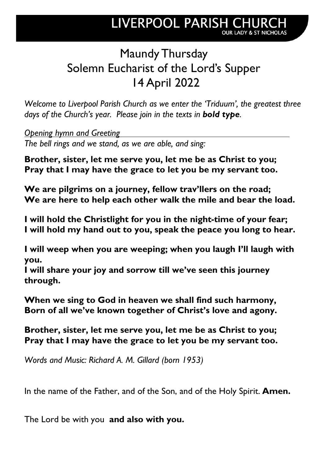# Maundy Thursday Solemn Eucharist of the Lord's Supper 14 April 2022

*Welcome to Liverpool Parish Church as we enter the 'Triduum', the greatest three days of the Church's year. Please join in the texts in bold type.*

*Opening hymn and Greeting The bell rings and we stand, as we are able, and sing:*

**Brother, sister, let me serve you, let me be as Christ to you; Pray that I may have the grace to let you be my servant too.**

**We are pilgrims on a journey, fellow trav'llers on the road; We are here to help each other walk the mile and bear the load.**

**I will hold the Christlight for you in the night-time of your fear; I will hold my hand out to you, speak the peace you long to hear.**

**I will weep when you are weeping; when you laugh I'll laugh with you.**

**I will share your joy and sorrow till we've seen this journey through.**

**When we sing to God in heaven we shall find such harmony, Born of all we've known together of Christ's love and agony.**

**Brother, sister, let me serve you, let me be as Christ to you; Pray that I may have the grace to let you be my servant too.**

*Words and Music: Richard A. M. Gillard (born 1953)*

In the name of the Father, and of the Son, and of the Holy Spirit. **Amen.**

The Lord be with you **and also with you.**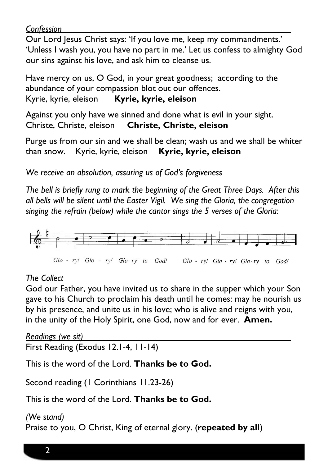#### *Confession*

Our Lord Jesus Christ says: 'If you love me, keep my commandments.' 'Unless I wash you, you have no part in me.' Let us confess to almighty God our sins against his love, and ask him to cleanse us.

Have mercy on us, O God, in your great goodness; according to the abundance of your compassion blot out our offences. Kyrie, kyrie, eleison **Kyrie, kyrie, eleison**

Against you only have we sinned and done what is evil in your sight. Christe, Christe, eleison **Christe, Christe, eleison**

Purge us from our sin and we shall be clean; wash us and we shall be whiter than snow. Kyrie, kyrie, eleison **Kyrie, kyrie, eleison**

*We receive an absolution, assuring us of God's forgiveness*

*The bell is briefly rung to mark the beginning of the Great Three Days. After this all bells will be silent until the Easter Vigil. We sing the Gloria, the congregation singing the refrain (below) while the cantor sings the 5 verses of the Gloria:*



#### *The Collect*

God our Father, you have invited us to share in the supper which your Son gave to his Church to proclaim his death until he comes: may he nourish us by his presence, and unite us in his love; who is alive and reigns with you, in the unity of the Holy Spirit, one God, now and for ever. **Amen.**

*Readings (we sit)* First Reading (Exodus 12.1-4, 11-14)

This is the word of the Lord. **Thanks be to God.**

Second reading (1 Corinthians 11.23-26)

This is the word of the Lord. **Thanks be to God.**

#### *(We stand)*

Praise to you, O Christ, King of eternal glory. (**repeated by all**)

2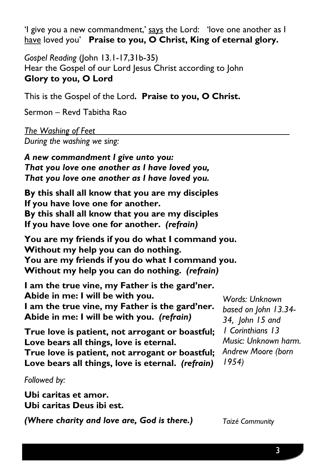'I give you a new commandment,' says the Lord: 'love one another as I have loved you' **Praise to you, O Christ, King of eternal glory.**

*Gospel Reading* (John 13.1-17,31b-35) Hear the Gospel of our Lord Jesus Christ according to John **Glory to you, O Lord**

This is the Gospel of the Lord**. Praise to you, O Christ.**

Sermon – Revd Tabitha Rao

*The Washing of Feet During the washing we sing:*

*A new commandment I give unto you: That you love one another as I have loved you, That you love one another as I have loved you.*

**By this shall all know that you are my disciples If you have love one for another. By this shall all know that you are my disciples If you have love one for another.** *(refrain)*

**You are my friends if you do what I command you. Without my help you can do nothing. You are my friends if you do what I command you. Without my help you can do nothing.** *(refrain)*

**I am the true vine, my Father is the gard'ner. Abide in me: I will be with you. I am the true vine, my Father is the gard'ner. Abide in me: I will be with you.** *(refrain)*

*Words: Unknown based on John 13.34- 34, John 15 and 1 Corinthians 13 Music: Unknown harm. Andrew Moore (born 1954)*

**True love is patient, not arrogant or boastful; Love bears all things, love is eternal.**

**True love is patient, not arrogant or boastful; Love bears all things, love is eternal.** *(refrain)*

*Followed by:*

**Ubi caritas et amor. Ubi caritas Deus ibi est.**

*(Where charity and love are, God is there.)*

*Taizé Community*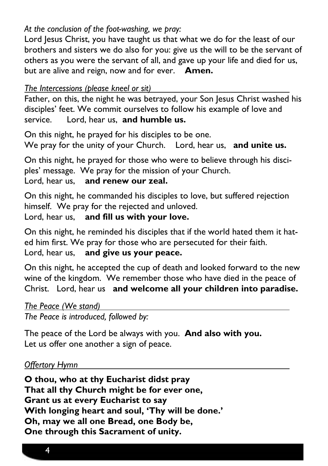# *At the conclusion of the foot-washing, we pray:*

Lord Jesus Christ, you have taught us that what we do for the least of our brothers and sisters we do also for you: give us the will to be the servant of others as you were the servant of all, and gave up your life and died for us, but are alive and reign, now and for ever.**Amen.**

*The Intercessions (please kneel or sit)*

Father, on this, the night he was betrayed, your Son Jesus Christ washed his disciples' feet. We commit ourselves to follow his example of love and service. Lord, hear us, **and humble us.**

On this night, he prayed for his disciples to be one. We pray for the unity of your Church. Lord, hear us, **and unite us.**

On this night, he prayed for those who were to believe through his disciples' message. We pray for the mission of your Church. Lord, hear us, **and renew our zeal.**

On this night, he commanded his disciples to love, but suffered rejection himself. We pray for the rejected and unloved.

Lord, hear us, **and fill us with your love.**

On this night, he reminded his disciples that if the world hated them it hated him first. We pray for those who are persecuted for their faith. Lord, hear us, **and give us your peace.**

On this night, he accepted the cup of death and looked forward to the new wine of the kingdom. We remember those who have died in the peace of Christ. Lord, hear us **and welcome all your children into paradise.**

*The Peace (We stand)*

*The Peace is introduced, followed by:* 

The peace of the Lord be always with you. **And also with you.** Let us offer one another a sign of peace.

# *Offertory Hymn*

**O thou, who at thy Eucharist didst pray That all thy Church might be for ever one, Grant us at every Eucharist to say With longing heart and soul, 'Thy will be done.' Oh, may we all one Bread, one Body be, One through this Sacrament of unity.**

4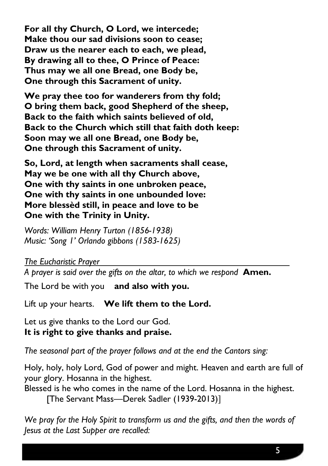**For all thy Church, O Lord, we intercede; Make thou our sad divisions soon to cease; Draw us the nearer each to each, we plead, By drawing all to thee, O Prince of Peace: Thus may we all one Bread, one Body be, One through this Sacrament of unity.**

**We pray thee too for wanderers from thy fold; O bring them back, good Shepherd of the sheep, Back to the faith which saints believed of old, Back to the Church which still that faith doth keep: Soon may we all one Bread, one Body be, One through this Sacrament of unity.**

**So, Lord, at length when sacraments shall cease, May we be one with all thy Church above, One with thy saints in one unbroken peace, One with thy saints in one unbounded love: More blessèd still, in peace and love to be One with the Trinity in Unity.**

*Words: William Henry Turton (1856-1938) Music: 'Song 1' Orlando gibbons (1583-1625)*

*The Eucharistic Prayer*

*A prayer is said over the gifts on the altar, to which we respond* **Amen.**

The Lord be with you **and also with you.**

Lift up your hearts. **We lift them to the Lord.**

Let us give thanks to the Lord our God. **It is right to give thanks and praise.**

*The seasonal part of the prayer follows and at the end the Cantors sing:*

Holy, holy, holy Lord, God of power and might. Heaven and earth are full of your glory. Hosanna in the highest.

Blessed is he who comes in the name of the Lord. Hosanna in the highest. [The Servant Mass---Derek Sadler (1939-2013)]

*We pray for the Holy Spirit to transform us and the gifts, and then the words of Jesus at the Last Supper are recalled:*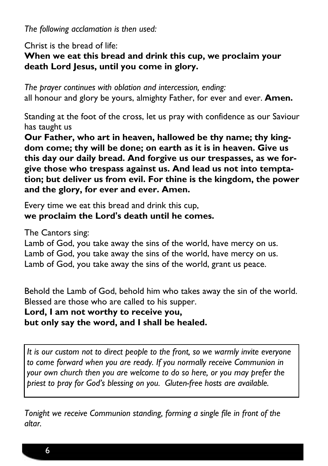*The following acclamation is then used:*

Christ is the bread of life:

# **When we eat this bread and drink this cup, we proclaim your death Lord Jesus, until you come in glory.**

*The prayer continues with oblation and intercession, ending:* all honour and glory be yours, almighty Father, for ever and ever. **Amen.**

Standing at the foot of the cross, let us pray with confidence as our Saviour has taught us

**Our Father, who art in heaven, hallowed be thy name; thy kingdom come; thy will be done; on earth as it is in heaven. Give us this day our daily bread. And forgive us our trespasses, as we forgive those who trespass against us. And lead us not into temptation; but deliver us from evil. For thine is the kingdom, the power and the glory, for ever and ever. Amen.**

Every time we eat this bread and drink this cup, **we proclaim the Lord's death until he comes.**

The Cantors sing:

Lamb of God, you take away the sins of the world, have mercy on us. Lamb of God, you take away the sins of the world, have mercy on us. Lamb of God, you take away the sins of the world, grant us peace.

Behold the Lamb of God, behold him who takes away the sin of the world. Blessed are those who are called to his supper.

# **Lord, I am not worthy to receive you, but only say the word, and I shall be healed.**

*It is our custom not to direct people to the front, so we warmly invite everyone to come forward when you are ready. If you normally receive Communion in your own church then you are welcome to do so here, or you may prefer the priest to pray for God's blessing on you. Gluten-free hosts are available.*

*Tonight we receive Communion standing, forming a single file in front of the altar.*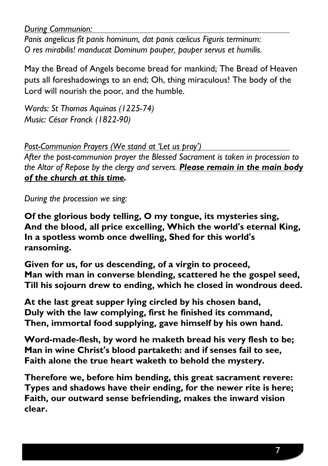*During Communion:*

*Panis angelicus fit panis hominum, dat panis cœlicus Figuris terminum: O res mirabilis! manducat Dominum pauper, pauper servus et humilis.*

May the Bread of Angels become bread for mankind; The Bread of Heaven puts all foreshadowings to an end; Oh, thing miraculous! The body of the Lord will nourish the poor, and the humble.

*Words: St Thomas Aquinas (1225-74) Music: César Franck (1822-90)*

*Post-Communion Prayers (We stand at 'Let us pray')*

*After the post-communion prayer the Blessed Sacrament is taken in procession to the Altar of Repose by the clergy and servers. Please remain in the main body of the church at this time.* 

*During the procession we sing:*

**Of the glorious body telling, O my tongue, its mysteries sing, And the blood, all price excelling, Which the world's eternal King, In a spotless womb once dwelling, Shed for this world's ransoming.**

**Given for us, for us descending, of a virgin to proceed, Man with man in converse blending, scattered he the gospel seed, Till his sojourn drew to ending, which he closed in wondrous deed.**

**At the last great supper lying circled by his chosen band, Duly with the law complying, first he finished its command, Then, immortal food supplying, gave himself by his own hand.**

**Word-made-flesh, by word he maketh bread his very flesh to be; Man in wine Christ's blood partaketh: and if senses fail to see, Faith alone the true heart waketh to behold the mystery.**

**Therefore we, before him bending, this great sacrament revere: Types and shadows have their ending, for the newer rite is here; Faith, our outward sense befriending, makes the inward vision clear.**